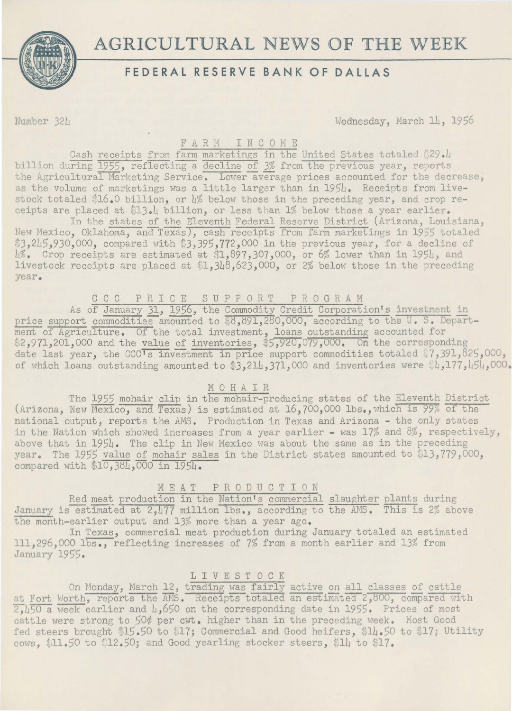

# **FEDERAL RESERVE BANK OF DALLAS**

Number 321 Wednesday, March 14, 1956

## F A R M I N C 0 M E

Cash receipts from farm marketings in the United States totaled  $$29.1$ billion during 1955, reflecting a decline of 3% from the previous year, reports the Agricultural Marketing Service. Lower average prices accounted for the decrease, as the volume of marketings was a little larger than in 1954. Receipts from livestock totaled \$16.0 billion, or  $\frac{1}{6}$  below those in the preceding year, and crop receipts are placed at \$13.4 billion, or less than 1% below those a year earlier.

In the states of the Eleventh Federal Reserve District (Arizona, Louisiana, New Mexico, Oklahoma, and Texas), cash receipts from farm marketings in 1955 totaled \$3,245,930,000, compared with \$3,395,772,000 in the previous year, for a decline of L%. Crop receipts are estimated at \$1,897,307,000, or 6% lower than in 195L, and livestock receipts are placed at  $1,318,623,000$ , or 2% below those in the preceding year.

C C C P R I C E S U P P 0 R T P R 0 G R A M

As of January 31, 1956, the Commodity Credit Corporation's investment in price support commodities amounted to  $\overline{$8,891,280,000}$ , according to the U. S. Department of Agriculture. Of the total investment, loans outstanding accounted for \$2,971,201,000 and the value of inventories, \$5,920,079,000. On the corresponding date last year, the CCC's investment in price support commodities totaled \$7,391,825,000, of which loans outstanding amounted to \$3,214,371,000 and inventories were \$4,177,454,000.

#### MOHAIR

The 1955 mohair clip in the mohair-producing states of the Eleventh District (Arizona, New Mexico, and Texas) is estimated at 16,700,000 lbs., which is 99% of the national output, reports the AMS. Production in Texas and Arizona - the only states in the Nation which showed increases from a year earlier - was 17% and 8%, respectively, above that in 1954. The clip in New Mexico was about the same as in the preceding year. The 1955 value of mohair sales in the District states amounted to  $$13,779,000$ , compared with  $10,38L$ ,  $000$  in  $195L$ .

# MEAT P R 0 D U C T I 0 N

Red meat production in the Nation's commercial slaughter plants during January is estimated at 2,477 million lbs., according to the AMS. This is 2% above the month-earlier output and 13% more than a year ago.

In Texas, commercial meat production during January totaled an estimated 111,296,000 lbs., reflecting increases of 7% from a month earlier and 13% from January 1955.

# 1 I V E S T 0 C K

On Monday, March 12, trading was fairly active on all classes of cattle at Fort Worth, reports the AMS. Receipts totaled an estimated 2,800, compared with 2.450 a week earlier and 4,650 on the corresponding date in 1955. Prices of most eattle were strong to 50¢ per cwt. higher than in the preceding week. Most Good fed steers brought \$15.50 to \$17; Commercial and Good heifers, \$14.50 to \$17; Utility cows.  $\$11.50$  to  $\$12.50$ ; and Good yearling stocker steers,  $\$1l$  to  $\$17$ .